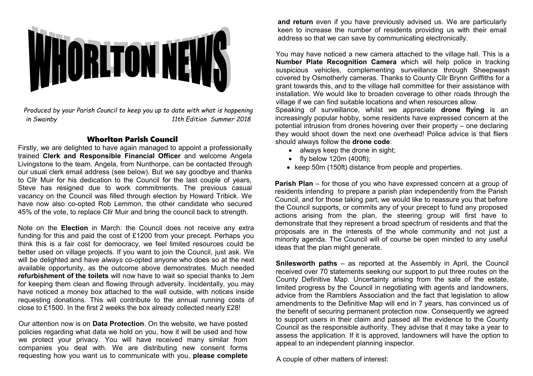

*Produced by your Parish Council to keep you up to date with what is happening in Swainby 11th Edition Summer 2018*

## Whorlton Parish Council

Firstly, we are delighted to have again managed to appoint a professionally trained **Clerk and Responsible Financial Officer** and welcome Angela Livingstone to the team. Angela, from Nunthorpe, can be contacted through our usual clerk email address (see below). But we say goodbye and thanks to Cllr Muir for his dedication to the Council for the last couple of years, Steve has resigned due to work commitments. The previous casual vacancy on the Council was filled through election by Howard Tribick. We have now also co-opted Rob Lemmon, the other candidate who secured 45% of the vote, to replace Cllr Muir and bring the council back to strength.

Note on the **Election** in March: the Council does not receive any extra funding for this and paid the cost of £1200 from your precept. Perhaps you think this is a fair cost for democracy, we feel limited resources could be better used on village projects. If you want to join the Council, just ask. We will be delighted and have *always* co-opted anyone who does so at the next available opportunity, as the outcome above demonstrates. Much needed **refurbishment of the toilets** will now have to wait so special thanks to Jem for keeping them clean and flowing through adversity. Incidentally, you may have noticed a money box attached to the wall outside, with notices inside requesting donations. This will contribute to the annual running costs of close to £1500. In the first 2 weeks the box already collected nearly £28!

Our attention now is on **Data Protection**. On the website, we have posted policies regarding what data we hold on you, how it will be used and how we protect your privacy. You will have received many similar from companies you deal with. We are distributing new consent forms requesting how you want us to communicate with you, **please complete** **and return** even if you have previously advised us. We are particularly keen to increase the number of residents providing us with their email address so that we can save by communicating electronically.

You may have noticed a new camera attached to the village hall. This is a **Number Plate Recognition Camera** which will help police in tracking suspicious vehicles, complementing surveillance through Sheepwash covered by Osmotherly cameras. Thanks to County Cllr Brynn Griffiths for a grant towards this, and to the village hall committee for their assistance with installation. We would like to broaden coverage to other roads through the village if we can find suitable locations and when resources allow.

Speaking of surveillance, whilst we appreciate **drone flying** is an increasingly popular hobby, some residents have expressed concern at the potential intrusion from drones hovering over their property – one declaring they would shoot down the next one overhead! Police advice is that fliers should always follow the **drone code**:

- always keep the drone in sight;
- $\bullet$  fly below 120m (400ft);
- keep 50m (150ft) distance from people and properties.

**Parish Plan** – for those of you who have expressed concern at a group of residents intending to prepare a parish plan independently from the Parish Council, and for those taking part, we would like to reassure you that before the Council supports, or commits any of your precept to fund any proposed actions arising from the plan, the steering group will first have to demonstrate that they represent a broad spectrum of residents and that the proposals are in the interests of the whole community and not just a minority agenda. The Council will of course be open minded to any useful ideas that the plan might generate.

**Snilesworth paths** – as reported at the Assembly in April, the Council received over 70 statements seeking our support to put three routes on the County Definitive Map. Uncertainty arising from the sale of the estate, limited progress by the Council in negotiating with agents and landowners, advice from the Ramblers Association and the fact that legislation to allow amendments to the Definitive Map will end in 7 years, has convinced us of the benefit of securing permanent protection now. Consequently we agreed to support users in their claim and passed all the evidence to the County Council as the responsible authority. They advise that it may take a year to assess the application. If it is approved, landowners will have the option to appeal to an independent planning inspector.

A couple of other matters of interest: